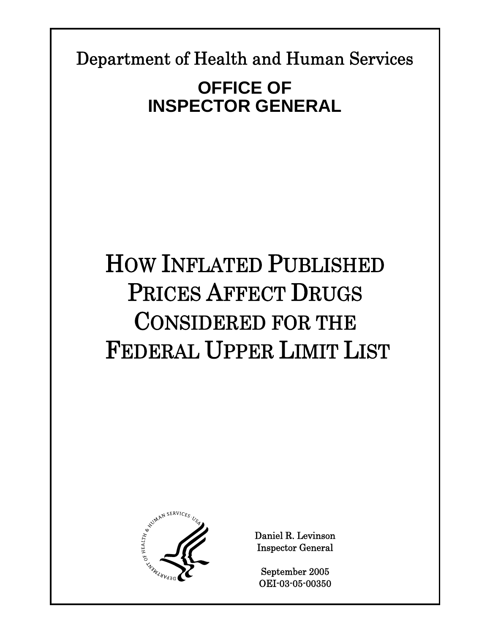Department of Health and Human Services

# **OFFICE OF INSPECTOR GENERAL**

# HOW INFLATED PUBLISHED PRICES AFFECT DRUGS CONSIDERED FOR THE FEDERAL UPPER LIMIT LIST



Daniel R. Levinson Inspector General

September 2005 OEI-03-05-00350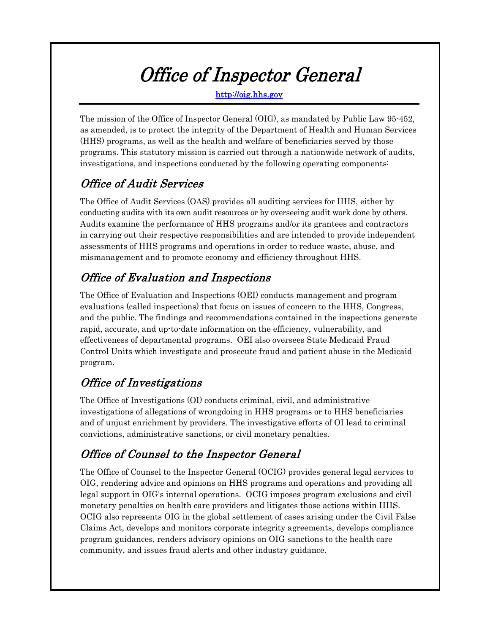# Office of Inspector General

http://oig.hhs.gov

The mission of the Office of Inspector General (OIG), as mandated by Public Law 95-452, as amended, is to protect the integrity of the Department of Health and Human Services (HHS) programs, as well as the health and welfare of beneficiaries served by those programs. This statutory mission is carried out through a nationwide network of audits, investigations, and inspections conducted by the following operating components:

# Office of Audit Services

The Office of Audit Services (OAS) provides all auditing services for HHS, either by conducting audits with its own audit resources or by overseeing audit work done by others. Audits examine the performance of HHS programs and/or its grantees and contractors in carrying out their respective responsibilities and are intended to provide independent assessments of HHS programs and operations in order to reduce waste, abuse, and mismanagement and to promote economy and efficiency throughout HHS.

# Office of Evaluation and Inspections

The Office of Evaluation and Inspections (OEI) conducts management and program evaluations (called inspections) that focus on issues of concern to the HHS, Congress, and the public. The findings and recommendations contained in the inspections generate rapid, accurate, and up-to-date information on the efficiency, vulnerability, and effectiveness of departmental programs. OEI also oversees State Medicaid Fraud Control Units which investigate and prosecute fraud and patient abuse in the Medicaid program.

# Office of Investigations

The Office of Investigations (OI) conducts criminal, civil, and administrative investigations of allegations of wrongdoing in HHS programs or to HHS beneficiaries and of unjust enrichment by providers. The investigative efforts of OI lead to criminal convictions, administrative sanctions, or civil monetary penalties.

# Office of Counsel to the Inspector General

The Office of Counsel to the Inspector General (OCIG) provides general legal services to OIG, rendering advice and opinions on HHS programs and operations and providing all legal support in OIG's internal operations. OCIG imposes program exclusions and civil monetary penalties on health care providers and litigates those actions within HHS. OCIG also represents OIG in the global settlement of cases arising under the Civil False Claims Act, develops and monitors corporate integrity agreements, develops compliance program guidances, renders advisory opinions on OIG sanctions to the health care community, and issues fraud alerts and other industry guidance.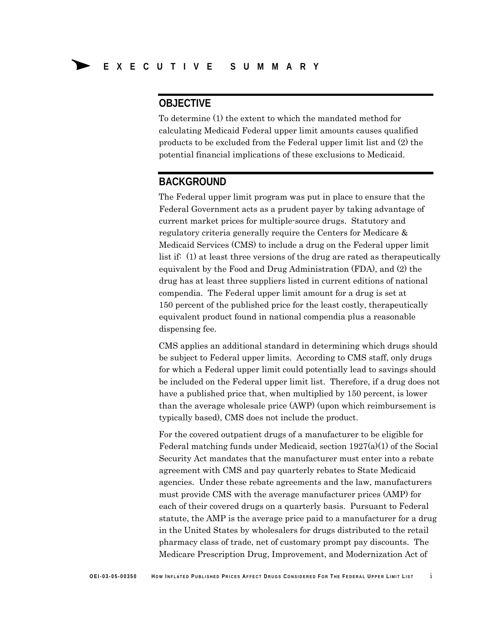### **OBJECTIVE**

To determine (1) the extent to which the mandated method for calculating Medicaid Federal upper limit amounts causes qualified products to be excluded from the Federal upper limit list and (2) the potential financial implications of these exclusions to Medicaid.

### **BACKGROUND**

The Federal upper limit program was put in place to ensure that the Federal Government acts as a prudent payer by taking advantage of current market prices for multiple-source drugs. Statutory and regulatory criteria generally require the Centers for Medicare & Medicaid Services (CMS) to include a drug on the Federal upper limit list if: (1) at least three versions of the drug are rated as therapeutically equivalent by the Food and Drug Administration (FDA), and (2) the drug has at least three suppliers listed in current editions of national compendia. The Federal upper limit amount for a drug is set at 150 percent of the published price for the least costly, therapeutically equivalent product found in national compendia plus a reasonable dispensing fee.

CMS applies an additional standard in determining which drugs should be subject to Federal upper limits. According to CMS staff, only drugs for which a Federal upper limit could potentially lead to savings should be included on the Federal upper limit list. Therefore, if a drug does not have a published price that, when multiplied by 150 percent, is lower than the average wholesale price (AWP) (upon which reimbursement is typically based), CMS does not include the product.

For the covered outpatient drugs of a manufacturer to be eligible for Federal matching funds under Medicaid, section 1927(a)(1) of the Social Security Act mandates that the manufacturer must enter into a rebate agreement with CMS and pay quarterly rebates to State Medicaid agencies. Under these rebate agreements and the law, manufacturers must provide CMS with the average manufacturer prices (AMP) for each of their covered drugs on a quarterly basis. Pursuant to Federal statute, the AMP is the average price paid to a manufacturer for a drug in the United States by wholesalers for drugs distributed to the retail pharmacy class of trade, net of customary prompt pay discounts. The Medicare Prescription Drug, Improvement, and Modernization Act of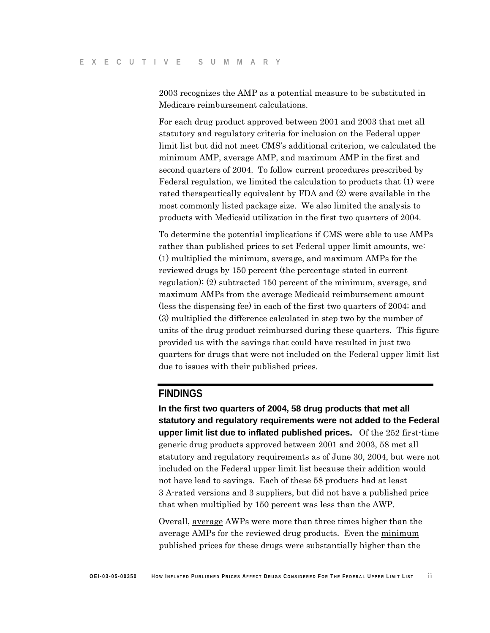2003 recognizes the AMP as a potential measure to be substituted in Medicare reimbursement calculations.

For each drug product approved between 2001 and 2003 that met all statutory and regulatory criteria for inclusion on the Federal upper limit list but did not meet CMS's additional criterion, we calculated the minimum AMP, average AMP, and maximum AMP in the first and second quarters of 2004. To follow current procedures prescribed by Federal regulation, we limited the calculation to products that (1) were rated therapeutically equivalent by FDA and (2) were available in the most commonly listed package size. We also limited the analysis to products with Medicaid utilization in the first two quarters of 2004.

To determine the potential implications if CMS were able to use AMPs rather than published prices to set Federal upper limit amounts, we: (1) multiplied the minimum, average, and maximum AMPs for the reviewed drugs by 150 percent (the percentage stated in current regulation); (2) subtracted 150 percent of the minimum, average, and maximum AMPs from the average Medicaid reimbursement amount (less the dispensing fee) in each of the first two quarters of 2004; and (3) multiplied the difference calculated in step two by the number of units of the drug product reimbursed during these quarters. This figure provided us with the savings that could have resulted in just two quarters for drugs that were not included on the Federal upper limit list due to issues with their published prices.

### **FINDINGS**

**In the first two quarters of 2004, 58 drug products that met all statutory and regulatory requirements were not added to the Federal upper limit list due to inflated published prices.** Of the 252 first-time generic drug products approved between 2001 and 2003, 58 met all statutory and regulatory requirements as of June 30, 2004, but were not included on the Federal upper limit list because their addition would not have lead to savings. Each of these 58 products had at least 3 A-rated versions and 3 suppliers, but did not have a published price that when multiplied by 150 percent was less than the AWP.

Overall, average AWPs were more than three times higher than the average AMPs for the reviewed drug products. Even the minimum published prices for these drugs were substantially higher than the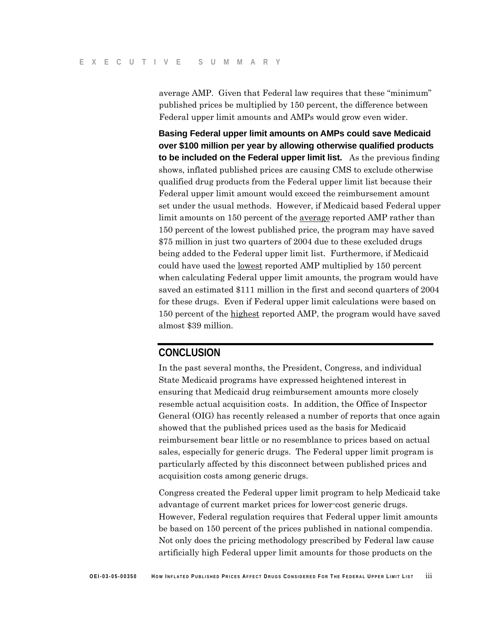average AMP. Given that Federal law requires that these "minimum" published prices be multiplied by 150 percent, the difference between Federal upper limit amounts and AMPs would grow even wider.

**Basing Federal upper limit amounts on AMPs could save Medicaid over \$100 million per year by allowing otherwise qualified products to be included on the Federal upper limit list.** As the previous finding shows, inflated published prices are causing CMS to exclude otherwise qualified drug products from the Federal upper limit list because their Federal upper limit amount would exceed the reimbursement amount set under the usual methods. However, if Medicaid based Federal upper limit amounts on 150 percent of the average reported AMP rather than 150 percent of the lowest published price, the program may have saved \$75 million in just two quarters of 2004 due to these excluded drugs being added to the Federal upper limit list. Furthermore, if Medicaid could have used the lowest reported AMP multiplied by 150 percent when calculating Federal upper limit amounts, the program would have saved an estimated \$111 million in the first and second quarters of 2004 for these drugs. Even if Federal upper limit calculations were based on 150 percent of the highest reported AMP, the program would have saved almost \$39 million.

### **CONCLUSION**

In the past several months, the President, Congress, and individual State Medicaid programs have expressed heightened interest in ensuring that Medicaid drug reimbursement amounts more closely resemble actual acquisition costs. In addition, the Office of Inspector General (OIG) has recently released a number of reports that once again showed that the published prices used as the basis for Medicaid reimbursement bear little or no resemblance to prices based on actual sales, especially for generic drugs. The Federal upper limit program is particularly affected by this disconnect between published prices and acquisition costs among generic drugs.

Congress created the Federal upper limit program to help Medicaid take advantage of current market prices for lower-cost generic drugs. However, Federal regulation requires that Federal upper limit amounts be based on 150 percent of the prices published in national compendia. Not only does the pricing methodology prescribed by Federal law cause artificially high Federal upper limit amounts for those products on the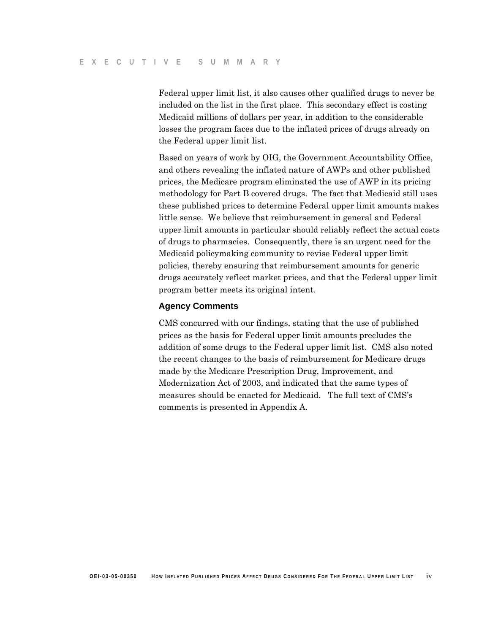Federal upper limit list, it also causes other qualified drugs to never be included on the list in the first place. This secondary effect is costing Medicaid millions of dollars per year, in addition to the considerable losses the program faces due to the inflated prices of drugs already on the Federal upper limit list.

Based on years of work by OIG, the Government Accountability Office, and others revealing the inflated nature of AWPs and other published prices, the Medicare program eliminated the use of AWP in its pricing methodology for Part B covered drugs. The fact that Medicaid still uses these published prices to determine Federal upper limit amounts makes little sense. We believe that reimbursement in general and Federal upper limit amounts in particular should reliably reflect the actual costs of drugs to pharmacies. Consequently, there is an urgent need for the Medicaid policymaking community to revise Federal upper limit policies, thereby ensuring that reimbursement amounts for generic drugs accurately reflect market prices, and that the Federal upper limit program better meets its original intent.

#### **Agency Comments**

CMS concurred with our findings, stating that the use of published prices as the basis for Federal upper limit amounts precludes the addition of some drugs to the Federal upper limit list. CMS also noted the recent changes to the basis of reimbursement for Medicare drugs made by the Medicare Prescription Drug, Improvement, and Modernization Act of 2003, and indicated that the same types of measures should be enacted for Medicaid. The full text of CMS's comments is presented in Appendix A.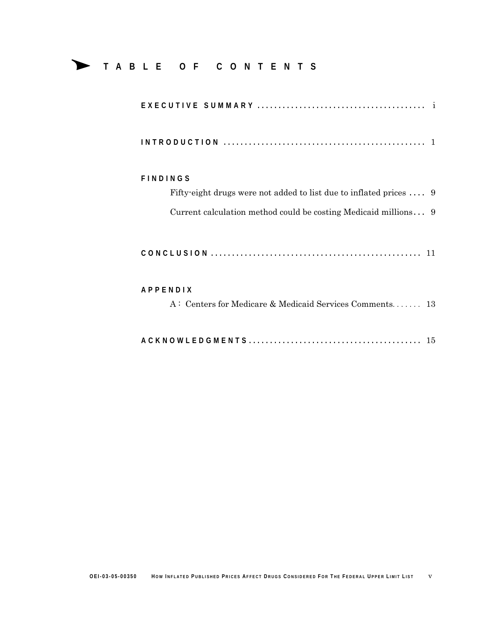# Δ **<sup>T</sup> ABLE OF CONTENTS**

| <b>FINDINGS</b>                                                    |
|--------------------------------------------------------------------|
| Fifty-eight drugs were not added to list due to inflated prices  9 |
| Current calculation method could be costing Medicaid millions 9    |
|                                                                    |
| <b>APPFNDIX</b>                                                    |
| A: Centers for Medicare & Medicaid Services Comments 13            |
|                                                                    |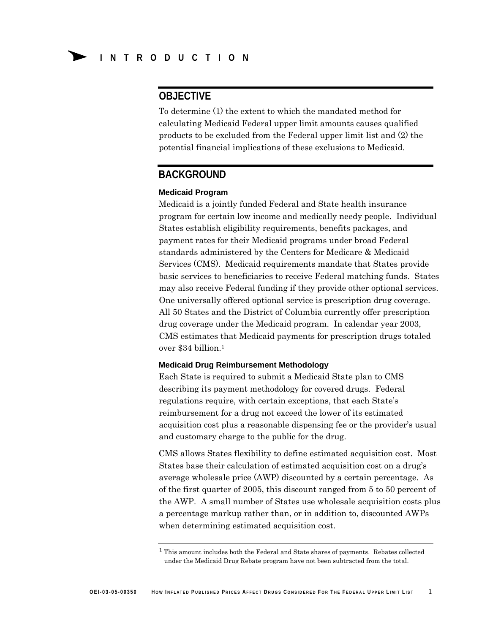## **OBJECTIVE**

To determine (1) the extent to which the mandated method for calculating Medicaid Federal upper limit amounts causes qualified products to be excluded from the Federal upper limit list and (2) the potential financial implications of these exclusions to Medicaid.

### **BACKGROUND**

#### **Medicaid Program**

Medicaid is a jointly funded Federal and State health insurance program for certain low income and medically needy people. Individual States establish eligibility requirements, benefits packages, and payment rates for their Medicaid programs under broad Federal standards administered by the Centers for Medicare & Medicaid Services (CMS). Medicaid requirements mandate that States provide basic services to beneficiaries to receive Federal matching funds. States may also receive Federal funding if they provide other optional services. One universally offered optional service is prescription drug coverage. All 50 States and the District of Columbia currently offer prescription drug coverage under the Medicaid program. In calendar year 2003, CMS estimates that Medicaid payments for prescription drugs totaled over \$34 billion.1

#### **Medicaid Drug Reimbursement Methodology**

Each State is required to submit a Medicaid State plan to CMS describing its payment methodology for covered drugs. Federal regulations require, with certain exceptions, that each State's reimbursement for a drug not exceed the lower of its estimated acquisition cost plus a reasonable dispensing fee or the provider's usual and customary charge to the public for the drug.

CMS allows States flexibility to define estimated acquisition cost. Most States base their calculation of estimated acquisition cost on a drug's average wholesale price (AWP) discounted by a certain percentage. As of the first quarter of 2005, this discount ranged from 5 to 50 percent of the AWP. A small number of States use wholesale acquisition costs plus a percentage markup rather than, or in addition to, discounted AWPs when determining estimated acquisition cost.

<sup>1</sup> This amount includes both the Federal and State shares of payments. Rebates collected under the Medicaid Drug Rebate program have not been subtracted from the total.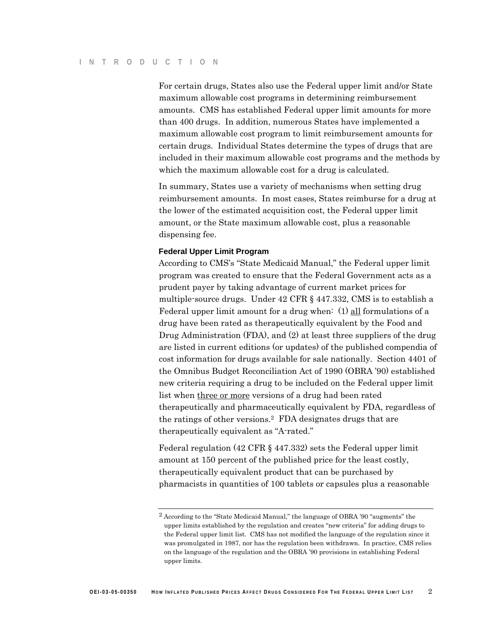For certain drugs, States also use the Federal upper limit and/or State maximum allowable cost programs in determining reimbursement amounts. CMS has established Federal upper limit amounts for more than 400 drugs. In addition, numerous States have implemented a maximum allowable cost program to limit reimbursement amounts for certain drugs. Individual States determine the types of drugs that are included in their maximum allowable cost programs and the methods by which the maximum allowable cost for a drug is calculated.

In summary, States use a variety of mechanisms when setting drug reimbursement amounts. In most cases, States reimburse for a drug at the lower of the estimated acquisition cost, the Federal upper limit amount, or the State maximum allowable cost, plus a reasonable dispensing fee.

#### **Federal Upper Limit Program**

According to CMS's "State Medicaid Manual," the Federal upper limit program was created to ensure that the Federal Government acts as a prudent payer by taking advantage of current market prices for multiple-source drugs. Under 42 CFR § 447.332, CMS is to establish a Federal upper limit amount for a drug when:  $(1)$  all formulations of a drug have been rated as therapeutically equivalent by the Food and Drug Administration (FDA), and (2) at least three suppliers of the drug are listed in current editions (or updates) of the published compendia of cost information for drugs available for sale nationally. Section 4401 of the Omnibus Budget Reconciliation Act of 1990 (OBRA '90) established new criteria requiring a drug to be included on the Federal upper limit list when three or more versions of a drug had been rated therapeutically and pharmaceutically equivalent by FDA, regardless of the ratings of other versions.2 FDA designates drugs that are therapeutically equivalent as "A-rated."

Federal regulation (42 CFR § 447.332) sets the Federal upper limit amount at 150 percent of the published price for the least costly, therapeutically equivalent product that can be purchased by pharmacists in quantities of 100 tablets or capsules plus a reasonable

<sup>2</sup> According to the "State Medicaid Manual," the language of OBRA '90 "augments" the upper limits established by the regulation and creates "new criteria" for adding drugs to the Federal upper limit list. CMS has not modified the language of the regulation since it was promulgated in 1987, nor has the regulation been withdrawn. In practice, CMS relies on the language of the regulation and the OBRA '90 provisions in establishing Federal upper limits.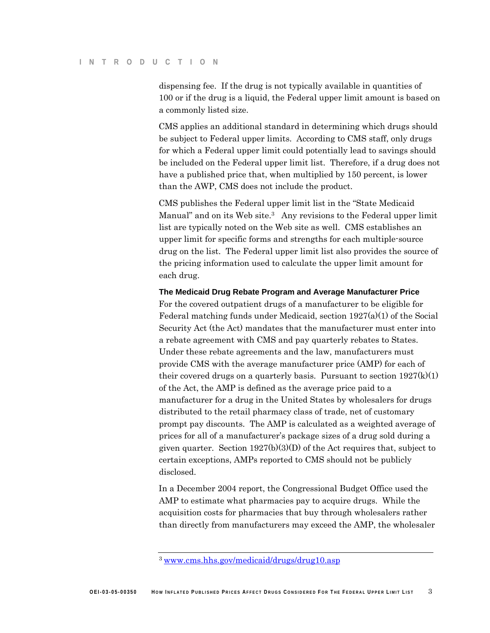dispensing fee. If the drug is not typically available in quantities of 100 or if the drug is a liquid, the Federal upper limit amount is based on a commonly listed size.

CMS applies an additional standard in determining which drugs should be subject to Federal upper limits. According to CMS staff, only drugs for which a Federal upper limit could potentially lead to savings should be included on the Federal upper limit list. Therefore, if a drug does not have a published price that, when multiplied by 150 percent, is lower than the AWP, CMS does not include the product.

CMS publishes the Federal upper limit list in the "State Medicaid Manual" and on its Web site.<sup>3</sup> Any revisions to the Federal upper limit list are typically noted on the Web site as well. CMS establishes an upper limit for specific forms and strengths for each multiple-source drug on the list. The Federal upper limit list also provides the source of the pricing information used to calculate the upper limit amount for each drug.

**The Medicaid Drug Rebate Program and Average Manufacturer Price** 

For the covered outpatient drugs of a manufacturer to be eligible for Federal matching funds under Medicaid, section 1927(a)(1) of the Social Security Act (the Act) mandates that the manufacturer must enter into a rebate agreement with CMS and pay quarterly rebates to States. Under these rebate agreements and the law, manufacturers must provide CMS with the average manufacturer price (AMP) for each of their covered drugs on a quarterly basis. Pursuant to section  $1927(k)(1)$ of the Act, the AMP is defined as the average price paid to a manufacturer for a drug in the United States by wholesalers for drugs distributed to the retail pharmacy class of trade, net of customary prompt pay discounts. The AMP is calculated as a weighted average of prices for all of a manufacturer's package sizes of a drug sold during a given quarter. Section 1927(b)(3)(D) of the Act requires that, subject to certain exceptions, AMPs reported to CMS should not be publicly disclosed.

In a December 2004 report, the Congressional Budget Office used the AMP to estimate what pharmacies pay to acquire drugs. While the acquisition costs for pharmacies that buy through wholesalers rather than directly from manufacturers may exceed the AMP, the wholesaler

<sup>3</sup> www.cms.hhs.gov/medicaid/drugs/drug10.asp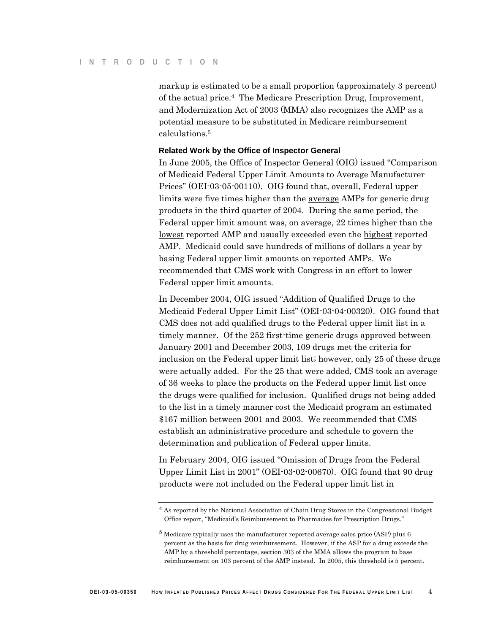markup is estimated to be a small proportion (approximately 3 percent) of the actual price.4 The Medicare Prescription Drug, Improvement, and Modernization Act of 2003 (MMA) also recognizes the AMP as a potential measure to be substituted in Medicare reimbursement calculations.5

#### **Related Work by the Office of Inspector General**

In June 2005, the Office of Inspector General (OIG) issued "Comparison of Medicaid Federal Upper Limit Amounts to Average Manufacturer Prices" (OEI-03-05-00110). OIG found that, overall, Federal upper limits were five times higher than the average AMPs for generic drug products in the third quarter of 2004. During the same period, the Federal upper limit amount was, on average, 22 times higher than the lowest reported AMP and usually exceeded even the highest reported AMP. Medicaid could save hundreds of millions of dollars a year by basing Federal upper limit amounts on reported AMPs. We recommended that CMS work with Congress in an effort to lower Federal upper limit amounts.

In December 2004, OIG issued "Addition of Qualified Drugs to the Medicaid Federal Upper Limit List" (OEI-03-04-00320). OIG found that CMS does not add qualified drugs to the Federal upper limit list in a timely manner. Of the 252 first-time generic drugs approved between January 2001 and December 2003, 109 drugs met the criteria for inclusion on the Federal upper limit list; however, only 25 of these drugs were actually added. For the 25 that were added, CMS took an average of 36 weeks to place the products on the Federal upper limit list once the drugs were qualified for inclusion. Qualified drugs not being added to the list in a timely manner cost the Medicaid program an estimated \$167 million between 2001 and 2003. We recommended that CMS establish an administrative procedure and schedule to govern the determination and publication of Federal upper limits.

In February 2004, OIG issued "Omission of Drugs from the Federal Upper Limit List in 2001" (OEI-03-02-00670). OIG found that 90 drug products were not included on the Federal upper limit list in

<sup>4</sup> As reported by the National Association of Chain Drug Stores in the Congressional Budget Office report, "Medicaid's Reimbursement to Pharmacies for Prescription Drugs."

<sup>5</sup> Medicare typically uses the manufacturer reported average sales price (ASP) plus 6 percent as the basis for drug reimbursement. However, if the ASP for a drug exceeds the AMP by a threshold percentage, section 303 of the MMA allows the program to base reimbursement on 103 percent of the AMP instead. In 2005, this threshold is 5 percent.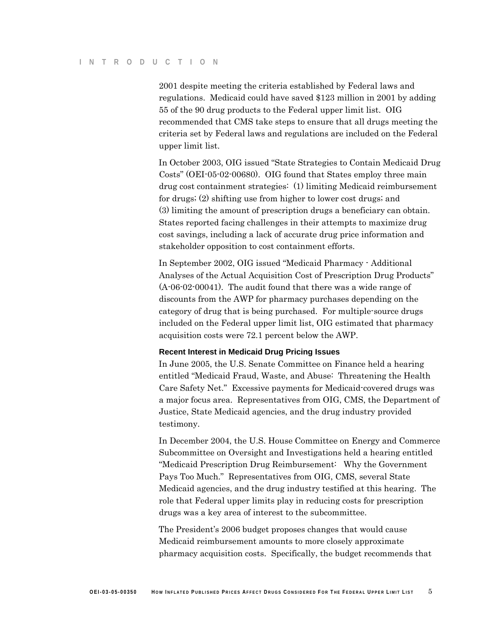2001 despite meeting the criteria established by Federal laws and regulations. Medicaid could have saved \$123 million in 2001 by adding 55 of the 90 drug products to the Federal upper limit list. OIG recommended that CMS take steps to ensure that all drugs meeting the criteria set by Federal laws and regulations are included on the Federal upper limit list.

In October 2003, OIG issued "State Strategies to Contain Medicaid Drug Costs" (OEI-05-02-00680). OIG found that States employ three main drug cost containment strategies: (1) limiting Medicaid reimbursement for drugs; (2) shifting use from higher to lower cost drugs; and (3) limiting the amount of prescription drugs a beneficiary can obtain. States reported facing challenges in their attempts to maximize drug cost savings, including a lack of accurate drug price information and stakeholder opposition to cost containment efforts.

In September 2002, OIG issued "Medicaid Pharmacy - Additional Analyses of the Actual Acquisition Cost of Prescription Drug Products" (A-06-02-00041). The audit found that there was a wide range of discounts from the AWP for pharmacy purchases depending on the category of drug that is being purchased. For multiple-source drugs included on the Federal upper limit list, OIG estimated that pharmacy acquisition costs were 72.1 percent below the AWP.

#### **Recent Interest in Medicaid Drug Pricing Issues**

In June 2005, the U.S. Senate Committee on Finance held a hearing entitled "Medicaid Fraud, Waste, and Abuse: Threatening the Health Care Safety Net." Excessive payments for Medicaid-covered drugs was a major focus area. Representatives from OIG, CMS, the Department of Justice, State Medicaid agencies, and the drug industry provided testimony.

In December 2004, the U.S. House Committee on Energy and Commerce Subcommittee on Oversight and Investigations held a hearing entitled "Medicaid Prescription Drug Reimbursement: Why the Government Pays Too Much." Representatives from OIG, CMS, several State Medicaid agencies, and the drug industry testified at this hearing. The role that Federal upper limits play in reducing costs for prescription drugs was a key area of interest to the subcommittee.

The President's 2006 budget proposes changes that would cause Medicaid reimbursement amounts to more closely approximate pharmacy acquisition costs. Specifically, the budget recommends that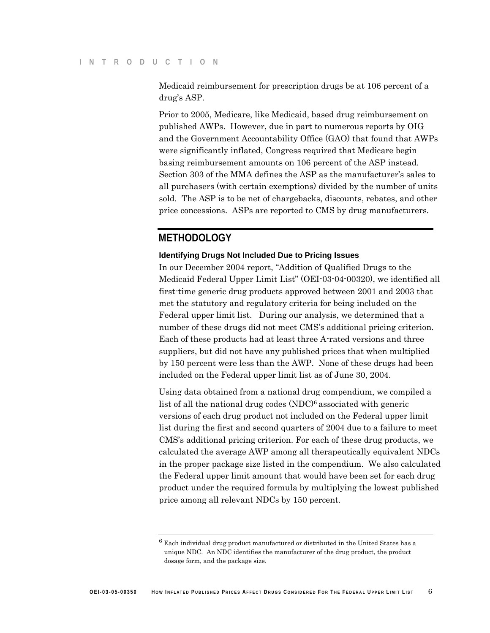Medicaid reimbursement for prescription drugs be at 106 percent of a drug's ASP.

Prior to 2005, Medicare, like Medicaid, based drug reimbursement on published AWPs. However, due in part to numerous reports by OIG and the Government Accountability Office (GAO) that found that AWPs were significantly inflated, Congress required that Medicare begin basing reimbursement amounts on 106 percent of the ASP instead. Section 303 of the MMA defines the ASP as the manufacturer's sales to all purchasers (with certain exemptions) divided by the number of units sold. The ASP is to be net of chargebacks, discounts, rebates, and other price concessions. ASPs are reported to CMS by drug manufacturers.

### **METHODOLOGY**

#### **Identifying Drugs Not Included Due to Pricing Issues**

In our December 2004 report, "Addition of Qualified Drugs to the Medicaid Federal Upper Limit List" (OEI-03-04-00320), we identified all first-time generic drug products approved between 2001 and 2003 that met the statutory and regulatory criteria for being included on the Federal upper limit list. During our analysis, we determined that a number of these drugs did not meet CMS's additional pricing criterion. Each of these products had at least three A-rated versions and three suppliers, but did not have any published prices that when multiplied by 150 percent were less than the AWP. None of these drugs had been included on the Federal upper limit list as of June 30, 2004.

Using data obtained from a national drug compendium, we compiled a list of all the national drug codes (NDC)6 associated with generic versions of each drug product not included on the Federal upper limit list during the first and second quarters of 2004 due to a failure to meet CMS's additional pricing criterion. For each of these drug products, we calculated the average AWP among all therapeutically equivalent NDCs in the proper package size listed in the compendium. We also calculated the Federal upper limit amount that would have been set for each drug product under the required formula by multiplying the lowest published price among all relevant NDCs by 150 percent.

 $6$  Each individual drug product manufactured or distributed in the United States has a unique NDC. An NDC identifies the manufacturer of the drug product, the product dosage form, and the package size.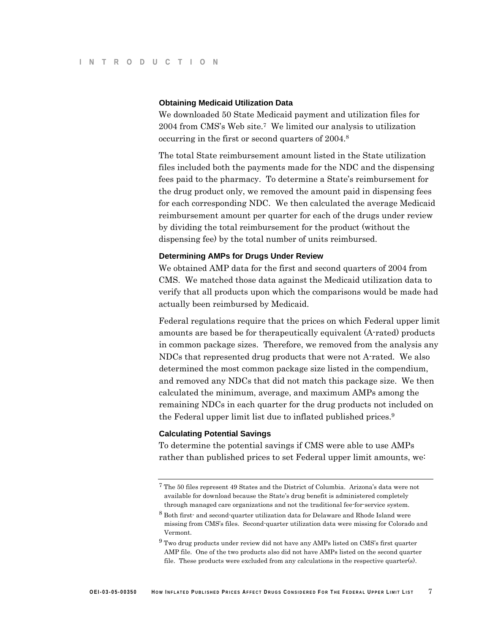#### **Obtaining Medicaid Utilization Data**

We downloaded 50 State Medicaid payment and utilization files for 2004 from CMS's Web site.7 We limited our analysis to utilization occurring in the first or second quarters of 2004.8

The total State reimbursement amount listed in the State utilization files included both the payments made for the NDC and the dispensing fees paid to the pharmacy. To determine a State's reimbursement for the drug product only, we removed the amount paid in dispensing fees for each corresponding NDC. We then calculated the average Medicaid reimbursement amount per quarter for each of the drugs under review by dividing the total reimbursement for the product (without the dispensing fee) by the total number of units reimbursed.

#### **Determining AMPs for Drugs Under Review**

We obtained AMP data for the first and second quarters of 2004 from CMS. We matched those data against the Medicaid utilization data to verify that all products upon which the comparisons would be made had actually been reimbursed by Medicaid.

Federal regulations require that the prices on which Federal upper limit amounts are based be for therapeutically equivalent (A-rated) products in common package sizes. Therefore, we removed from the analysis any NDCs that represented drug products that were not A-rated. We also determined the most common package size listed in the compendium, and removed any NDCs that did not match this package size. We then calculated the minimum, average, and maximum AMPs among the remaining NDCs in each quarter for the drug products not included on the Federal upper limit list due to inflated published prices.9

#### **Calculating Potential Savings**

To determine the potential savings if CMS were able to use AMPs rather than published prices to set Federal upper limit amounts, we:

<sup>7</sup> The 50 files represent 49 States and the District of Columbia. Arizona's data were not available for download because the State's drug benefit is administered completely through managed care organizations and not the traditional fee-for-service system.

<sup>8</sup> Both first- and second-quarter utilization data for Delaware and Rhode Island were missing from CMS's files. Second-quarter utilization data were missing for Colorado and Vermont.

<sup>9</sup> Two drug products under review did not have any AMPs listed on CMS's first quarter AMP file. One of the two products also did not have AMPs listed on the second quarter file. These products were excluded from any calculations in the respective quarter(s).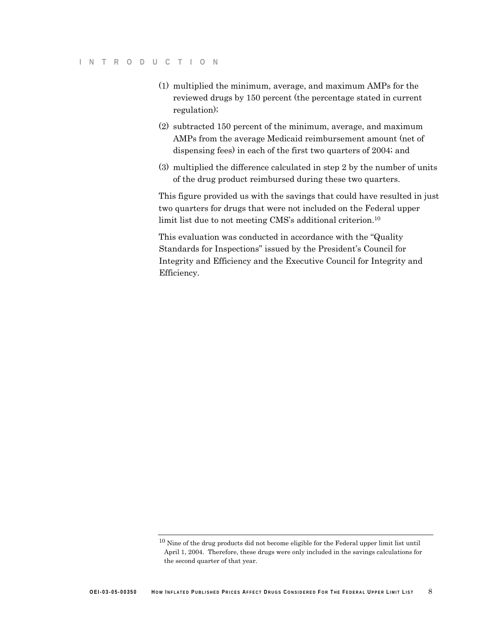- (1) multiplied the minimum, average, and maximum AMPs for the reviewed drugs by 150 percent (the percentage stated in current regulation);
- (2) subtracted 150 percent of the minimum, average, and maximum AMPs from the average Medicaid reimbursement amount (net of dispensing fees) in each of the first two quarters of 2004; and
- (3) multiplied the difference calculated in step 2 by the number of units of the drug product reimbursed during these two quarters.

This figure provided us with the savings that could have resulted in just two quarters for drugs that were not included on the Federal upper limit list due to not meeting CMS's additional criterion.10

This evaluation was conducted in accordance with the "Quality Standards for Inspections" issued by the President's Council for Integrity and Efficiency and the Executive Council for Integrity and Efficiency.

<sup>10</sup> Nine of the drug products did not become eligible for the Federal upper limit list until April 1, 2004. Therefore, these drugs were only included in the savings calculations for the second quarter of that year.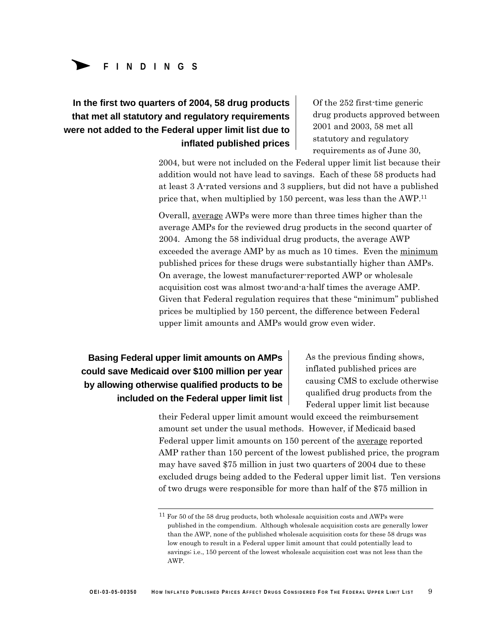# Δ **FINDINGS**

# **In the first two quarters of 2004, 58 drug products that met all statutory and regulatory requirements were not added to the Federal upper limit list due to inflated published prices**

Of the 252 first-time generic drug products approved between 2001 and 2003, 58 met all statutory and regulatory requirements as of June 30,

2004, but were not included on the Federal upper limit list because their addition would not have lead to savings. Each of these 58 products had at least 3 A-rated versions and 3 suppliers, but did not have a published price that, when multiplied by 150 percent, was less than the AWP.11

Overall, average AWPs were more than three times higher than the average AMPs for the reviewed drug products in the second quarter of 2004. Among the 58 individual drug products, the average AWP exceeded the average AMP by as much as 10 times. Even the minimum published prices for these drugs were substantially higher than AMPs. On average, the lowest manufacturer-reported AWP or wholesale acquisition cost was almost two-and-a-half times the average AMP. Given that Federal regulation requires that these "minimum" published prices be multiplied by 150 percent, the difference between Federal upper limit amounts and AMPs would grow even wider.

**Basing Federal upper limit amounts on AMPs could save Medicaid over \$100 million per year by allowing otherwise qualified products to be included on the Federal upper limit list**  As the previous finding shows, inflated published prices are causing CMS to exclude otherwise qualified drug products from the Federal upper limit list because

their Federal upper limit amount would exceed the reimbursement amount set under the usual methods. However, if Medicaid based Federal upper limit amounts on 150 percent of the average reported AMP rather than 150 percent of the lowest published price, the program may have saved \$75 million in just two quarters of 2004 due to these excluded drugs being added to the Federal upper limit list. Ten versions of two drugs were responsible for more than half of the \$75 million in

 $11$  For 50 of the 58 drug products, both wholesale acquisition costs and AWPs were published in the compendium. Although wholesale acquisition costs are generally lower than the AWP, none of the published wholesale acquisition costs for these 58 drugs was low enough to result in a Federal upper limit amount that could potentially lead to savings; i.e., 150 percent of the lowest wholesale acquisition cost was not less than the AWP.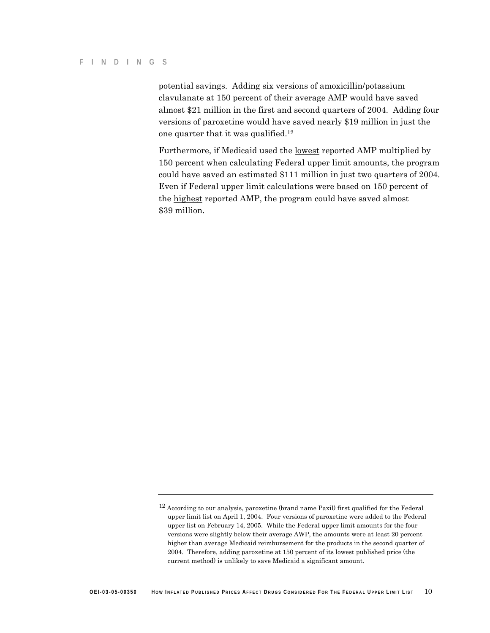potential savings. Adding six versions of amoxicillin/potassium clavulanate at 150 percent of their average AMP would have saved almost \$21 million in the first and second quarters of 2004. Adding four versions of paroxetine would have saved nearly \$19 million in just the one quarter that it was qualified.12

Furthermore, if Medicaid used the lowest reported AMP multiplied by 150 percent when calculating Federal upper limit amounts, the program could have saved an estimated \$111 million in just two quarters of 2004. Even if Federal upper limit calculations were based on 150 percent of the highest reported AMP, the program could have saved almost \$39 million.

<sup>12</sup> According to our analysis, paroxetine (brand name Paxil) first qualified for the Federal upper limit list on April 1, 2004. Four versions of paroxetine were added to the Federal upper list on February 14, 2005. While the Federal upper limit amounts for the four versions were slightly below their average AWP, the amounts were at least 20 percent higher than average Medicaid reimbursement for the products in the second quarter of 2004. Therefore, adding paroxetine at 150 percent of its lowest published price (the current method) is unlikely to save Medicaid a significant amount.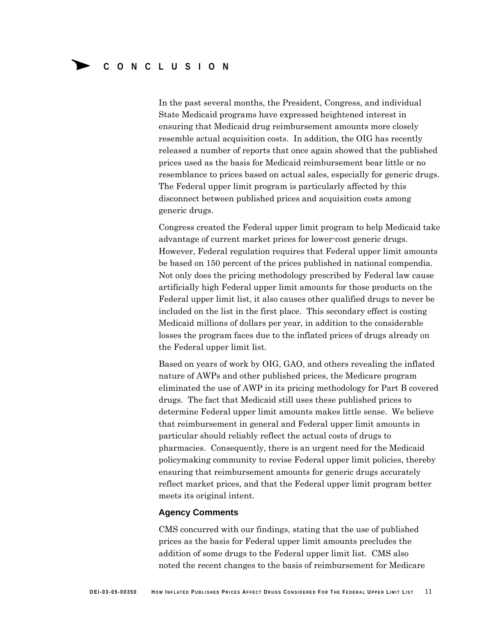In the past several months, the President, Congress, and individual State Medicaid programs have expressed heightened interest in ensuring that Medicaid drug reimbursement amounts more closely resemble actual acquisition costs. In addition, the OIG has recently released a number of reports that once again showed that the published prices used as the basis for Medicaid reimbursement bear little or no resemblance to prices based on actual sales, especially for generic drugs. The Federal upper limit program is particularly affected by this disconnect between published prices and acquisition costs among generic drugs.

Congress created the Federal upper limit program to help Medicaid take advantage of current market prices for lower-cost generic drugs. However, Federal regulation requires that Federal upper limit amounts be based on 150 percent of the prices published in national compendia. Not only does the pricing methodology prescribed by Federal law cause artificially high Federal upper limit amounts for those products on the Federal upper limit list, it also causes other qualified drugs to never be included on the list in the first place. This secondary effect is costing Medicaid millions of dollars per year, in addition to the considerable losses the program faces due to the inflated prices of drugs already on the Federal upper limit list.

Based on years of work by OIG, GAO, and others revealing the inflated nature of AWPs and other published prices, the Medicare program eliminated the use of AWP in its pricing methodology for Part B covered drugs. The fact that Medicaid still uses these published prices to determine Federal upper limit amounts makes little sense. We believe that reimbursement in general and Federal upper limit amounts in particular should reliably reflect the actual costs of drugs to pharmacies. Consequently, there is an urgent need for the Medicaid policymaking community to revise Federal upper limit policies, thereby ensuring that reimbursement amounts for generic drugs accurately reflect market prices, and that the Federal upper limit program better meets its original intent.

#### **Agency Comments**

CMS concurred with our findings, stating that the use of published prices as the basis for Federal upper limit amounts precludes the addition of some drugs to the Federal upper limit list. CMS also noted the recent changes to the basis of reimbursement for Medicare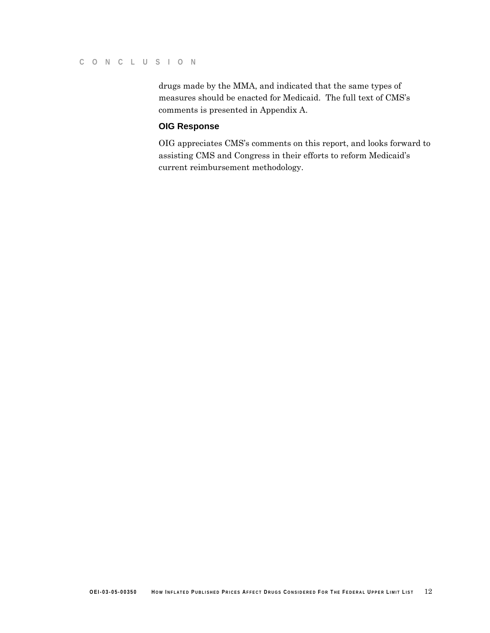#### **C O NCL USIO N**

drugs made by the MMA, and indicated that the same types of measures should be enacted for Medicaid. The full text of CMS's comments is presented in Appendix A.

### **OIG Response**

OIG appreciates CMS's comments on this report, and looks forward to assisting CMS and Congress in their efforts to reform Medicaid's current reimbursement methodology.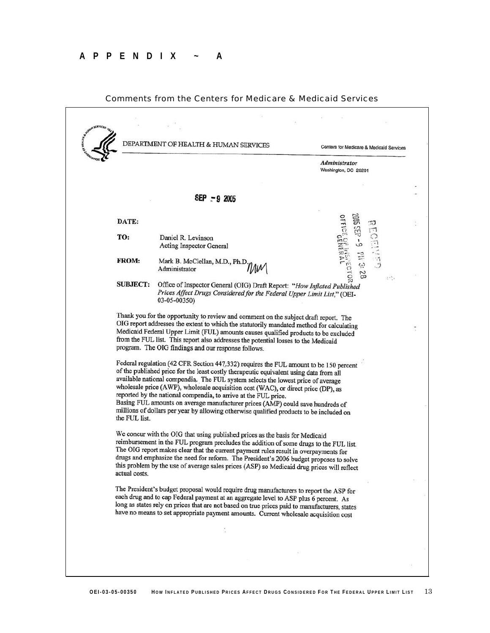

#### Comments from the Centers for Medicare & Medicaid Services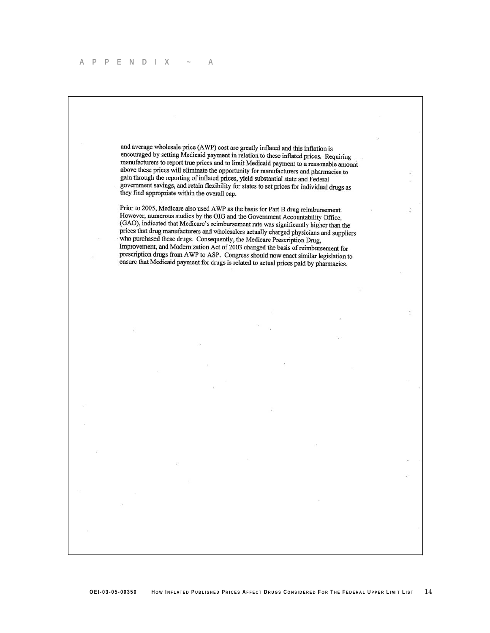#### **APPENDIX ~ A**